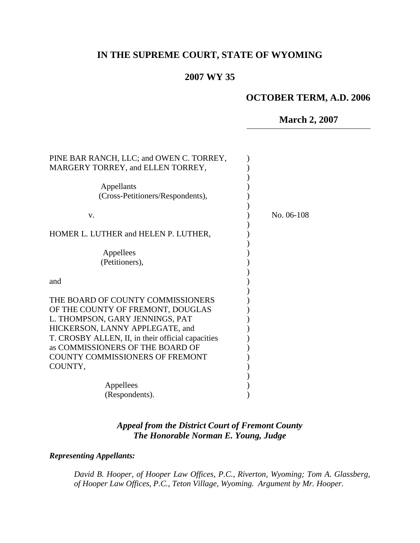# **IN THE SUPREME COURT, STATE OF WYOMING**

### **2007 WY 35**

# **OCTOBER TERM, A.D. 2006**

### **March 2, 2007**

| PINE BAR RANCH, LLC; and OWEN C. TORREY,<br>MARGERY TORREY, and ELLEN TORREY,         |            |
|---------------------------------------------------------------------------------------|------------|
|                                                                                       |            |
| Appellants                                                                            |            |
| (Cross-Petitioners/Respondents),                                                      |            |
|                                                                                       |            |
| V.                                                                                    | No. 06-108 |
| HOMER L. LUTHER and HELEN P. LUTHER,                                                  |            |
|                                                                                       |            |
| Appellees                                                                             |            |
| (Petitioners),                                                                        |            |
|                                                                                       |            |
| and                                                                                   |            |
|                                                                                       |            |
| THE BOARD OF COUNTY COMMISSIONERS                                                     |            |
| OF THE COUNTY OF FREMONT, DOUGLAS                                                     |            |
| L. THOMPSON, GARY JENNINGS, PAT                                                       |            |
| HICKERSON, LANNY APPLEGATE, and                                                       |            |
| T. CROSBY ALLEN, II, in their official capacities<br>as COMMISSIONERS OF THE BOARD OF |            |
| <b>COUNTY COMMISSIONERS OF FREMONT</b>                                                |            |
| COUNTY,                                                                               |            |
|                                                                                       |            |
| Appellees                                                                             |            |
| (Respondents).                                                                        |            |
|                                                                                       |            |

## *Appeal from the District Court of Fremont County The Honorable Norman E. Young, Judge*

#### *Representing Appellants:*

*David B. Hooper, of Hooper Law Offices, P.C., Riverton, Wyoming; Tom A. Glassberg, of Hooper Law Offices, P.C., Teton Village, Wyoming. Argument by Mr. Hooper.*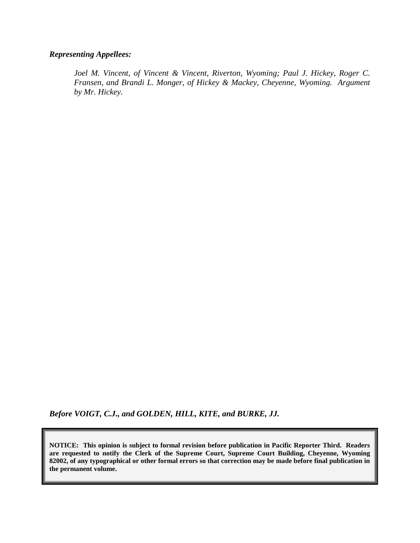#### *Representing Appellees:*

*Joel M. Vincent, of Vincent & Vincent, Riverton, Wyoming; Paul J. Hickey, Roger C. Fransen, and Brandi L. Monger, of Hickey & Mackey, Cheyenne, Wyoming. Argument by Mr. Hickey.*

*Before VOIGT, C.J., and GOLDEN, HILL, KITE, and BURKE, JJ.*

**NOTICE: This opinion is subject to formal revision before publication in Pacific Reporter Third. Readers are requested to notify the Clerk of the Supreme Court, Supreme Court Building, Cheyenne, Wyoming 82002, of any typographical or other formal errors so that correction may be made before final publication in the permanent volume.**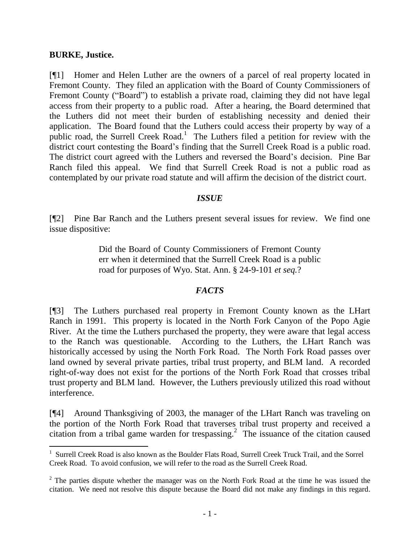#### **BURKE, Justice.**

[¶1] Homer and Helen Luther are the owners of a parcel of real property located in Fremont County. They filed an application with the Board of County Commissioners of Fremont County ("Board") to establish a private road, claiming they did not have legal access from their property to a public road. After a hearing, the Board determined that the Luthers did not meet their burden of establishing necessity and denied their application. The Board found that the Luthers could access their property by way of a public road, the Surrell Creek Road.<sup>1</sup> The Luthers filed a petition for review with the district court contesting the Board"s finding that the Surrell Creek Road is a public road. The district court agreed with the Luthers and reversed the Board"s decision. Pine Bar Ranch filed this appeal. We find that Surrell Creek Road is not a public road as contemplated by our private road statute and will affirm the decision of the district court.

### *ISSUE*

[¶2] Pine Bar Ranch and the Luthers present several issues for review. We find one issue dispositive:

> Did the Board of County Commissioners of Fremont County err when it determined that the Surrell Creek Road is a public road for purposes of Wyo. Stat. Ann. § 24-9-101 *et seq.*?

#### *FACTS*

[¶3] The Luthers purchased real property in Fremont County known as the LHart Ranch in 1991. This property is located in the North Fork Canyon of the Popo Agie River. At the time the Luthers purchased the property, they were aware that legal access to the Ranch was questionable. According to the Luthers, the LHart Ranch was historically accessed by using the North Fork Road. The North Fork Road passes over land owned by several private parties, tribal trust property, and BLM land. A recorded right-of-way does not exist for the portions of the North Fork Road that crosses tribal trust property and BLM land. However, the Luthers previously utilized this road without interference.

[¶4] Around Thanksgiving of 2003, the manager of the LHart Ranch was traveling on the portion of the North Fork Road that traverses tribal trust property and received a citation from a tribal game warden for trespassing.<sup>2</sup> The issuance of the citation caused

 1 Surrell Creek Road is also known as the Boulder Flats Road, Surrell Creek Truck Trail, and the Sorrel Creek Road. To avoid confusion, we will refer to the road as the Surrell Creek Road.

 $2$  The parties dispute whether the manager was on the North Fork Road at the time he was issued the citation. We need not resolve this dispute because the Board did not make any findings in this regard.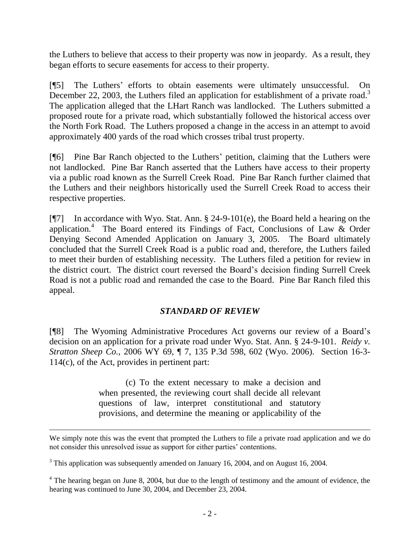the Luthers to believe that access to their property was now in jeopardy. As a result, they began efforts to secure easements for access to their property.

[¶5] The Luthers" efforts to obtain easements were ultimately unsuccessful. On December 22, 2003, the Luthers filed an application for establishment of a private road.<sup>3</sup> The application alleged that the LHart Ranch was landlocked. The Luthers submitted a proposed route for a private road, which substantially followed the historical access over the North Fork Road. The Luthers proposed a change in the access in an attempt to avoid approximately 400 yards of the road which crosses tribal trust property.

[¶6] Pine Bar Ranch objected to the Luthers" petition, claiming that the Luthers were not landlocked. Pine Bar Ranch asserted that the Luthers have access to their property via a public road known as the Surrell Creek Road. Pine Bar Ranch further claimed that the Luthers and their neighbors historically used the Surrell Creek Road to access their respective properties.

[¶7] In accordance with Wyo. Stat. Ann. § 24-9-101(e), the Board held a hearing on the application.<sup>4</sup> The Board entered its Findings of Fact, Conclusions of Law & Order Denying Second Amended Application on January 3, 2005. The Board ultimately concluded that the Surrell Creek Road is a public road and, therefore, the Luthers failed to meet their burden of establishing necessity. The Luthers filed a petition for review in the district court. The district court reversed the Board"s decision finding Surrell Creek Road is not a public road and remanded the case to the Board. Pine Bar Ranch filed this appeal.

## *STANDARD OF REVIEW*

[¶8] The Wyoming Administrative Procedures Act governs our review of a Board"s decision on an application for a private road under Wyo. Stat. Ann. § 24-9-101. *Reidy v. Stratton Sheep Co.,* 2006 WY 69, ¶ 7, 135 P.3d 598, 602 (Wyo. 2006). Section 16-3- 114(c), of the Act, provides in pertinent part:

> (c) To the extent necessary to make a decision and when presented, the reviewing court shall decide all relevant questions of law, interpret constitutional and statutory provisions, and determine the meaning or applicability of the

 $\overline{a}$ 

We simply note this was the event that prompted the Luthers to file a private road application and we do not consider this unresolved issue as support for either parties' contentions.

<sup>&</sup>lt;sup>3</sup> This application was subsequently amended on January 16, 2004, and on August 16, 2004.

<sup>&</sup>lt;sup>4</sup> The hearing began on June 8, 2004, but due to the length of testimony and the amount of evidence, the hearing was continued to June 30, 2004, and December 23, 2004.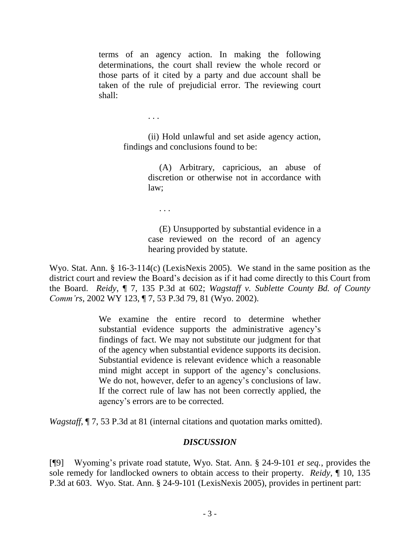terms of an agency action. In making the following determinations, the court shall review the whole record or those parts of it cited by a party and due account shall be taken of the rule of prejudicial error. The reviewing court shall:

> (ii) Hold unlawful and set aside agency action, findings and conclusions found to be:

> > (A) Arbitrary, capricious, an abuse of discretion or otherwise not in accordance with law;

. . .

. . .

 (E) Unsupported by substantial evidence in a case reviewed on the record of an agency hearing provided by statute.

Wyo. Stat. Ann. § 16-3-114(c) (LexisNexis 2005). We stand in the same position as the district court and review the Board"s decision as if it had come directly to this Court from the Board. *Reidy*, ¶ 7, 135 P.3d at 602; *[Wagstaff v. Sublette County Bd. of County](http://www.lexis.com/research/xlink?app=00075&view=full&searchtype=get&search=2002+WY+123%2C+P7)  Comm'rs*[, 2002 WY 123, ¶ 7, 53 P.3d 79, 81 \(Wyo. 2002\)](http://www.lexis.com/research/xlink?app=00075&view=full&searchtype=get&search=2002+WY+123%2C+P7).

> We examine the entire record to determine whether substantial evidence supports the administrative agency"s findings of fact. We may not substitute our judgment for that of the agency when substantial evidence supports its decision. Substantial evidence is relevant evidence which a reasonable mind might accept in support of the agency"s conclusions. We do not, however, defer to an agency's conclusions of law. If the correct rule of law has not been correctly applied, the agency"s errors are to be corrected.

*[Wagstaff](http://www.lexis.com/research/xlink?app=00075&view=full&searchtype=get&search=2002+WY+123%2C+P7)*,  $\P$  7, 53 P.3d at 81 (internal citations and quotation marks omitted).

## *DISCUSSION*

[¶9] Wyoming"s private road statute, Wyo. Stat. Ann. § 24-9-101 *et seq.*, provides the sole remedy for landlocked owners to obtain access to their property. *Reidy*, ¶ 10, 135 P.3d at 603. Wyo. Stat. Ann. § 24-9-101 (LexisNexis 2005), provides in pertinent part: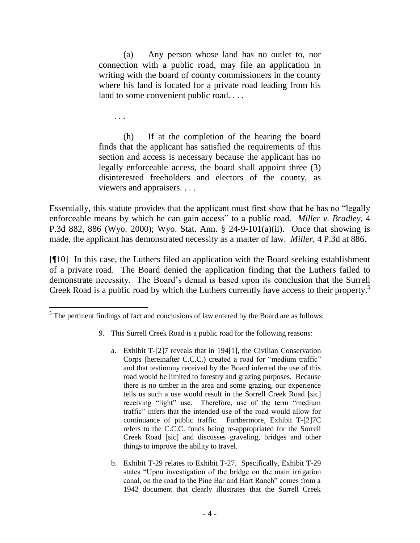(a) Any person whose land has no outlet to, nor connection with a public road, may file an application in writing with the board of county commissioners in the county where his land is located for a private road leading from his land to some convenient public road. . . .

. . .

 $\overline{a}$ 

(h) If at the completion of the hearing the board finds that the applicant has satisfied the requirements of this section and access is necessary because the applicant has no legally enforceable access, the board shall appoint three (3) disinterested freeholders and electors of the county, as viewers and appraisers. . . .

Essentially, this statute provides that the applicant must first show that he has no "legally enforceable means by which he can gain access" to a public road. *Miller v. Bradley*, 4 P.3d 882, 886 (Wyo. 2000); Wyo. Stat. Ann. § 24-9-101(a)(ii). Once that showing is made, the applicant has demonstrated necessity as a matter of law. *Miller*, 4 P.3d at 886.

[¶10] In this case, the Luthers filed an application with the Board seeking establishment of a private road. The Board denied the application finding that the Luthers failed to demonstrate necessity. The Board"s denial is based upon its conclusion that the Surrell Creek Road is a public road by which the Luthers currently have access to their property. 5

- 9. This Surrell Creek Road is a public road for the following reasons:
	- a. Exhibit T-[2]7 reveals that in 194[1], the Civilian Conservation Corps (hereinafter C.C.C.) created a road for "medium traffic" and that testimony received by the Board inferred the use of this road would be limited to forestry and grazing purposes. Because there is no timber in the area and some grazing, our experience tells us such a use would result in the Sorrell Creek Road [sic] receiving "light" use. Therefore, use of the term "medium traffic" infers that the intended use of the road would allow for continuance of public traffic. Furthermore, Exhibit T-[2]7C refers to the C.C.C. funds being re-appropriated for the Sorrell Creek Road [sic] and discusses graveling, bridges and other things to improve the ability to travel.
	- b. Exhibit T-29 relates to Exhibit T-27. Specifically, Exhibit T-29 states "Upon investigation of the bridge on the main irrigation canal, on the road to the Pine Bar and Hart Ranch" comes from a 1942 document that clearly illustrates that the Surrell Creek

 $<sup>5</sup>$  The pertinent findings of fact and conclusions of law entered by the Board are as follows:</sup>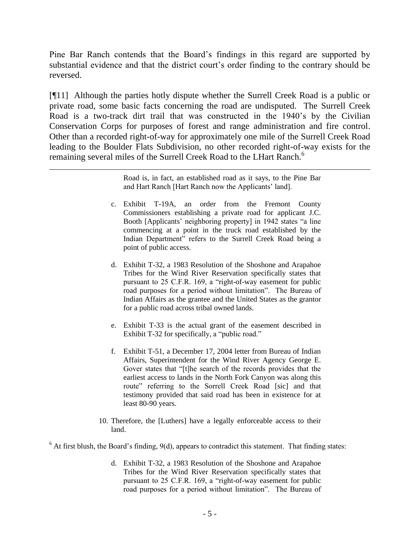Pine Bar Ranch contends that the Board"s findings in this regard are supported by substantial evidence and that the district court's order finding to the contrary should be reversed.

[¶11] Although the parties hotly dispute whether the Surrell Creek Road is a public or private road, some basic facts concerning the road are undisputed. The Surrell Creek Road is a two-track dirt trail that was constructed in the 1940"s by the Civilian Conservation Corps for purposes of forest and range administration and fire control. Other than a recorded right-of-way for approximately one mile of the Surrell Creek Road leading to the Boulder Flats Subdivision, no other recorded right-of-way exists for the remaining several miles of the Surrell Creek Road to the LHart Ranch.<sup>6</sup>

 $\overline{a}$ 

Road is, in fact, an established road as it says, to the Pine Bar and Hart Ranch [Hart Ranch now the Applicants' land].

- c. Exhibit T-19A, an order from the Fremont County Commissioners establishing a private road for applicant J.C. Booth [Applicants' neighboring property] in 1942 states "a line commencing at a point in the truck road established by the Indian Department" refers to the Surrell Creek Road being a point of public access.
- d. Exhibit T-32, a 1983 Resolution of the Shoshone and Arapahoe Tribes for the Wind River Reservation specifically states that pursuant to 25 C.F.R. 169, a "right-of-way easement for public road purposes for a period without limitation". The Bureau of Indian Affairs as the grantee and the United States as the grantor for a public road across tribal owned lands.
- e. Exhibit T-33 is the actual grant of the easement described in Exhibit T-32 for specifically, a "public road."
- f. Exhibit T-51, a December 17, 2004 letter from Bureau of Indian Affairs, Superintendent for the Wind River Agency George E. Gover states that "[t]he search of the records provides that the earliest access to lands in the North Fork Canyon was along this route" referring to the Sorrell Creek Road [sic] and that testimony provided that said road has been in existence for at least 80-90 years.
- 10. Therefore, the [Luthers] have a legally enforceable access to their land.

 $6$  At first blush, the Board's finding,  $9(d)$ , appears to contradict this statement. That finding states:

d. Exhibit T-32, a 1983 Resolution of the Shoshone and Arapahoe Tribes for the Wind River Reservation specifically states that pursuant to 25 C.F.R. 169, a "right-of-way easement for public road purposes for a period without limitation". The Bureau of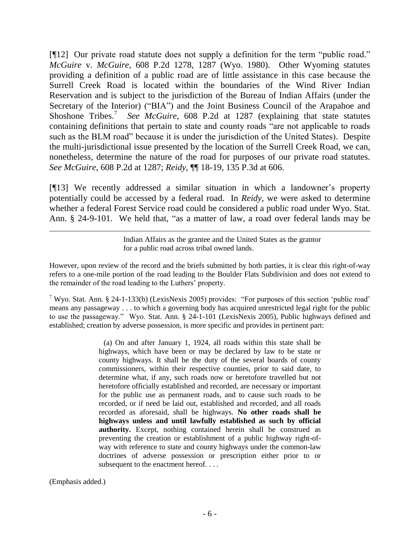[¶12] Our private road statute does not supply a definition for the term "public road." *McGuire* v. *McGuire*, 608 P.2d 1278, 1287 (Wyo. 1980). Other Wyoming statutes providing a definition of a public road are of little assistance in this case because the Surrell Creek Road is located within the boundaries of the Wind River Indian Reservation and is subject to the jurisdiction of the Bureau of Indian Affairs (under the Secretary of the Interior) ("BIA") and the Joint Business Council of the Arapahoe and Shoshone Tribes.<sup>7</sup> See McGuire, 608 P.2d at 1287 (explaining that state statutes containing definitions that pertain to state and county roads "are not applicable to roads such as the BLM road" because it is under the jurisdiction of the United States). Despite the multi-jurisdictional issue presented by the location of the Surrell Creek Road, we can, nonetheless, determine the nature of the road for purposes of our private road statutes. *See McGuire*, 608 P.2d at 1287; *Reidy*, ¶¶ 18-19, 135 P.3d at 606.

[¶13] We recently addressed a similar situation in which a landowner"s property potentially could be accessed by a federal road. In *Reidy,* we were asked to determine whether a federal Forest Service road could be considered a public road under Wyo. Stat. Ann. § 24-9-101. We held that, "as a matter of law, a road over federal lands may be

> Indian Affairs as the grantee and the United States as the grantor for a public road across tribal owned lands.

However, upon review of the record and the briefs submitted by both parties, it is clear this right-of-way refers to a one-mile portion of the road leading to the Boulder Flats Subdivision and does not extend to the remainder of the road leading to the Luthers' property.

<sup>7</sup> Wyo. Stat. Ann. § 24-1-133(b) (LexisNexis 2005) provides: "For purposes of this section 'public road' means any passageway . . . to which a governing body has acquired unrestricted legal right for the public to use the passageway." Wyo. Stat. Ann. § 24-1-101 (LexisNexis 2005), Public highways defined and established; creation by adverse possession, is more specific and provides in pertinent part:

> (a) On and after January 1, 1924, all roads within this state shall be highways, which have been or may be declared by law to be state or county highways. It shall be the duty of the several boards of county commissioners, within their respective counties, prior to said date, to determine what, if any, such roads now or heretofore travelled but not heretofore officially established and recorded, are necessary or important for the public use as permanent roads, and to cause such roads to be recorded, or if need be laid out, established and recorded, and all roads recorded as aforesaid, shall be highways. **No other roads shall be highways unless and until lawfully established as such by official authority.** Except, nothing contained herein shall be construed as preventing the creation or establishment of a public highway right-ofway with reference to state and county highways under the common-law doctrines of adverse possession or prescription either prior to or subsequent to the enactment hereof....

(Emphasis added.)

 $\overline{a}$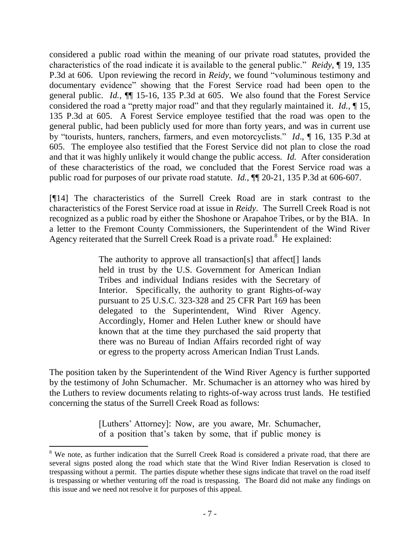considered a public road within the meaning of our private road statutes, provided the characteristics of the road indicate it is available to the general public." *Reidy*, ¶ 19, 135 P.3d at 606. Upon reviewing the record in *Reidy*, we found "voluminous testimony and documentary evidence" showing that the Forest Service road had been open to the general public. *Id.,* ¶¶ 15-16, 135 P.3d at 605. We also found that the Forest Service considered the road a "pretty major road" and that they regularly maintained it. *Id.,* ¶ 15, 135 P.3d at 605. A Forest Service employee testified that the road was open to the general public, had been publicly used for more than forty years, and was in current use by "tourists, hunters, ranchers, farmers, and even motorcyclists." *Id*., ¶ 16, 135 P.3d at 605. The employee also testified that the Forest Service did not plan to close the road and that it was highly unlikely it would change the public access. *Id.* After consideration of these characteristics of the road, we concluded that the Forest Service road was a public road for purposes of our private road statute. *Id.*, ¶¶ 20-21, 135 P.3d at 606-607.

[¶14] The characteristics of the Surrell Creek Road are in stark contrast to the characteristics of the Forest Service road at issue in *Reidy*. The Surrell Creek Road is not recognized as a public road by either the Shoshone or Arapahoe Tribes, or by the BIA. In a letter to the Fremont County Commissioners, the Superintendent of the Wind River Agency reiterated that the Surrell Creek Road is a private road.<sup>8</sup> He explained:

> The authority to approve all transaction[s] that affect[] lands held in trust by the U.S. Government for American Indian Tribes and individual Indians resides with the Secretary of Interior. Specifically, the authority to grant Rights-of-way pursuant to 25 U.S.C. 323-328 and 25 CFR Part 169 has been delegated to the Superintendent, Wind River Agency. Accordingly, Homer and Helen Luther knew or should have known that at the time they purchased the said property that there was no Bureau of Indian Affairs recorded right of way or egress to the property across American Indian Trust Lands.

The position taken by the Superintendent of the Wind River Agency is further supported by the testimony of John Schumacher. Mr. Schumacher is an attorney who was hired by the Luthers to review documents relating to rights-of-way across trust lands. He testified concerning the status of the Surrell Creek Road as follows:

> [Luthers" Attorney]: Now, are you aware, Mr. Schumacher, of a position that"s taken by some, that if public money is

 $\overline{a}$ 

<sup>&</sup>lt;sup>8</sup> We note, as further indication that the Surrell Creek Road is considered a private road, that there are several signs posted along the road which state that the Wind River Indian Reservation is closed to trespassing without a permit. The parties dispute whether these signs indicate that travel on the road itself is trespassing or whether venturing off the road is trespassing. The Board did not make any findings on this issue and we need not resolve it for purposes of this appeal.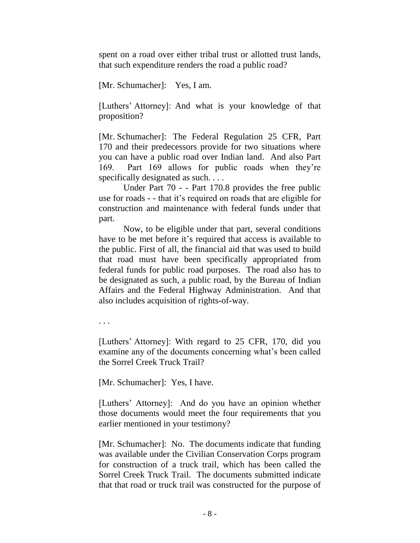spent on a road over either tribal trust or allotted trust lands, that such expenditure renders the road a public road?

[Mr. Schumacher]: Yes, I am.

[Luthers" Attorney]: And what is your knowledge of that proposition?

[Mr. Schumacher]: The Federal Regulation 25 CFR, Part 170 and their predecessors provide for two situations where you can have a public road over Indian land. And also Part 169. Part 169 allows for public roads when they"re specifically designated as such. . . .

Under Part 70 - - Part 170.8 provides the free public use for roads - - that it"s required on roads that are eligible for construction and maintenance with federal funds under that part.

Now, to be eligible under that part, several conditions have to be met before it's required that access is available to the public. First of all, the financial aid that was used to build that road must have been specifically appropriated from federal funds for public road purposes. The road also has to be designated as such, a public road, by the Bureau of Indian Affairs and the Federal Highway Administration. And that also includes acquisition of rights-of-way.

. . .

[Luthers" Attorney]: With regard to 25 CFR, 170, did you examine any of the documents concerning what's been called the Sorrel Creek Truck Trail?

[Mr. Schumacher]: Yes, I have.

[Luthers" Attorney]: And do you have an opinion whether those documents would meet the four requirements that you earlier mentioned in your testimony?

[Mr. Schumacher]: No. The documents indicate that funding was available under the Civilian Conservation Corps program for construction of a truck trail, which has been called the Sorrel Creek Truck Trail. The documents submitted indicate that that road or truck trail was constructed for the purpose of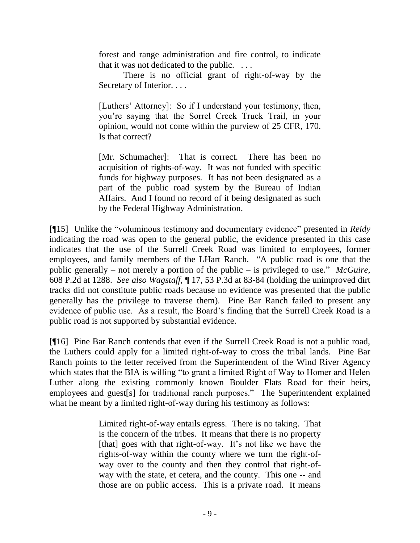forest and range administration and fire control, to indicate that it was not dedicated to the public. . . .

There is no official grant of right-of-way by the Secretary of Interior. . . .

[Luthers" Attorney]: So if I understand your testimony, then, you"re saying that the Sorrel Creek Truck Trail, in your opinion, would not come within the purview of 25 CFR, 170. Is that correct?

[Mr. Schumacher]: That is correct. There has been no acquisition of rights-of-way. It was not funded with specific funds for highway purposes. It has not been designated as a part of the public road system by the Bureau of Indian Affairs. And I found no record of it being designated as such by the Federal Highway Administration.

[¶15] Unlike the "voluminous testimony and documentary evidence" presented in *Reidy* indicating the road was open to the general public, the evidence presented in this case indicates that the use of the Surrell Creek Road was limited to employees, former employees, and family members of the LHart Ranch. "A public road is one that the public generally – not merely a portion of the public – is privileged to use." *McGuire,* 608 P.2d at 1288. *See also Wagstaff*, ¶ 17, 53 P.3d at 83-84 (holding the unimproved dirt tracks did not constitute public roads because no evidence was presented that the public generally has the privilege to traverse them). Pine Bar Ranch failed to present any evidence of public use. As a result, the Board"s finding that the Surrell Creek Road is a public road is not supported by substantial evidence.

[¶16] Pine Bar Ranch contends that even if the Surrell Creek Road is not a public road, the Luthers could apply for a limited right-of-way to cross the tribal lands. Pine Bar Ranch points to the letter received from the Superintendent of the Wind River Agency which states that the BIA is willing "to grant a limited Right of Way to Homer and Helen Luther along the existing commonly known Boulder Flats Road for their heirs, employees and guest[s] for traditional ranch purposes." The Superintendent explained what he meant by a limited right-of-way during his testimony as follows:

> Limited right-of-way entails egress. There is no taking. That is the concern of the tribes. It means that there is no property [that] goes with that right-of-way. It's not like we have the rights-of-way within the county where we turn the right-ofway over to the county and then they control that right-ofway with the state, et cetera, and the county. This one -- and those are on public access. This is a private road. It means